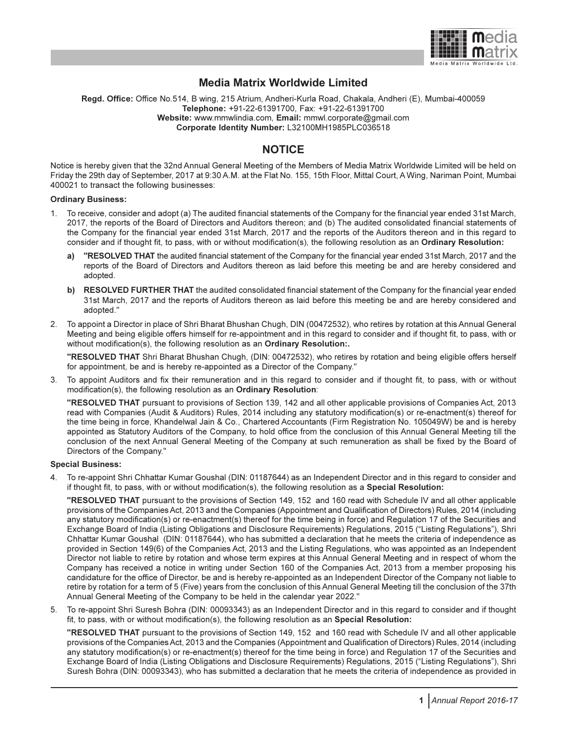

### Media Matrix Worldwide Limited

Regd. Office: Office No.514, B wing, 215 Atrium, Andheri-Kurla Road, Chakala, Andheri (E), Mumbai-400059 Telephone: +91-22-61391700, Fax: +91-22-61391700 Website: www.mmwlindia.com, Email: mmwl.corporate@gmail.com Corporate Identity Number: L32100MH1985PLC036518

### **NOTICE**

Notice is hereby given that the 32nd Annual General Meeting of the Members of Media Matrix Worldwide Limited will be held on Friday the 29th day of September, 2017 at 9:30 A.M. at the Flat No. 155, 15th Floor, Mittal Court, A Wing, Nariman Point, Mumbai 400021 to transact the following businesses:

#### Ordinary Business:

- 1. To receive, consider and adopt (a) The audited financial statements of the Company for the financial year ended 31st March, 2017, the reports of the Board of Directors and Auditors thereon; and (b) The audited consolidated financial statements of the Company for the financial year ended 31st March, 2017 and the reports of the Auditors thereon and in this regard to consider and if thought fit, to pass, with or without modification(s), the following resolution as an Ordinary Resolution:
	- a) "RESOLVED THAT the audited financial statement of the Company for the financial year ended 31st March, 2017 and the reports of the Board of Directors and Auditors thereon as laid before this meeting be and are hereby considered and adopted.
	- b) RESOLVED FURTHER THAT the audited consolidated financial statement of the Company for the financial year ended 31st March, 2017 and the reports of Auditors thereon as laid before this meeting be and are hereby considered and adopted."
- 2. To appoint a Director in place of Shri Bharat Bhushan Chugh, DIN (00472532), who retires by rotation at this Annual General Meeting and being eligible offers himself for re-appointment and in this regard to consider and if thought fit, to pass, with or without modification(s), the following resolution as an **Ordinary Resolution:.**

"RESOLVED THAT Shri Bharat Bhushan Chugh, (DIN: 00472532), who retires by rotation and being eligible offers herself for appointment, be and is hereby re-appointed as a Director of the Company."

3. To appoint Auditors and fix their remuneration and in this regard to consider and if thought fit, to pass, with or without modification(s), the following resolution as an Ordinary Resolution:

"RESOLVED THAT pursuant to provisions of Section 139, 142 and all other applicable provisions of Companies Act, 2013 read with Companies (Audit & Auditors) Rules, 2014 including any statutory modification(s) or re-enactment(s) thereof for the time being in force, Khandelwal Jain & Co., Chartered Accountants (Firm Registration No. 105049W) be and is hereby appointed as Statutory Auditors of the Company, to hold office from the conclusion of this Annual General Meeting till the conclusion of the next Annual General Meeting of the Company at such remuneration as shall be fixed by the Board of Directors of the Company."

#### Special Business:

4. To re-appoint Shri Chhattar Kumar Goushal (DIN: 01187644) as an Independent Director and in this regard to consider and if thought fit, to pass, with or without modification(s), the following resolution as a Special Resolution:

"RESOLVED THAT pursuant to the provisions of Section 149, 152 and 160 read with Schedule IV and all other applicable provisions of the Companies Act, 2013 and the Companies (Appointment and Qualification of Directors) Rules, 2014 (including any statutory modification(s) or re-enactment(s) thereof for the time being in force) and Regulation 17 of the Securities and Exchange Board of India (Listing Obligations and Disclosure Requirements) Regulations, 2015 ("Listing Regulations"), Shri Chhattar Kumar Goushal (DIN: 01187644), who has submitted a declaration that he meets the criteria of independence as provided in Section 149(6) of the Companies Act, 2013 and the Listing Regulations, who was appointed as an Independent Director not liable to retire by rotation and whose term expires at this Annual General Meeting and in respect of whom the Company has received a notice in writing under Section 160 of the Companies Act, 2013 from a member proposing his candidature for the office of Director, be and is hereby re-appointed as an Independent Director of the Company not liable to retire by rotation for a term of 5 (Five) years from the conclusion of this Annual General Meeting till the conclusion of the 37th Annual General Meeting of the Company to be held in the calendar year 2022."

5. To re-appoint Shri Suresh Bohra (DIN: 00093343) as an Independent Director and in this regard to consider and if thought fit, to pass, with or without modification(s), the following resolution as an Special Resolution:

"RESOLVED THAT pursuant to the provisions of Section 149, 152 and 160 read with Schedule IV and all other applicable provisions of the Companies Act, 2013 and the Companies (Appointment and Qualification of Directors) Rules, 2014 (including any statutory modification(s) or re-enactment(s) thereof for the time being in force) and Regulation 17 of the Securities and Exchange Board of India (Listing Obligations and Disclosure Requirements) Regulations, 2015 ("Listing Regulations"), Shri Suresh Bohra (DIN: 00093343), who has submitted a declaration that he meets the criteria of independence as provided in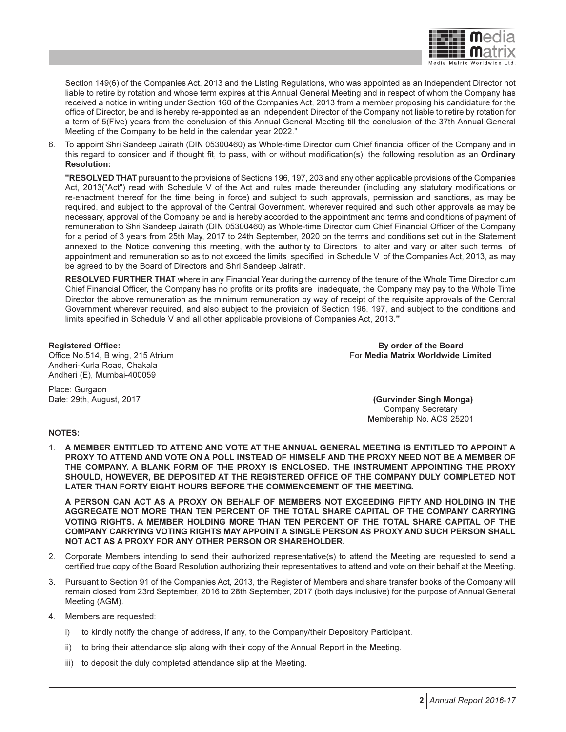

Section 149(6) of the Companies Act, 2013 and the Listing Regulations, who was appointed as an Independent Director not liable to retire by rotation and whose term expires at this Annual General Meeting and in respect of whom the Company has received a notice in writing under Section 160 of the Companies Act, 2013 from a member proposing his candidature for the office of Director, be and is hereby re-appointed as an Independent Director of the Company not liable to retire by rotation for a term of 5(Five) years from the conclusion of this Annual General Meeting till the conclusion of the 37th Annual General Meeting of the Company to be held in the calendar year 2022."

6. To appoint Shri Sandeep Jairath (DIN 05300460) as Whole-time Director cum Chief financial officer of the Company and in this regard to consider and if thought fit, to pass, with or without modification(s), the following resolution as an Ordinary Resolution:

"RESOLVED THAT pursuant to the provisions of Sections 196, 197, 203 and any other applicable provisions of the Companies Act, 2013("Act") read with Schedule V of the Act and rules made thereunder (including any statutory modifications or re-enactment thereof for the time being in force) and subject to such approvals, permission and sanctions, as may be required, and subject to the approval of the Central Government, wherever required and such other approvals as may be necessary, approval of the Company be and is hereby accorded to the appointment and terms and conditions of payment of remuneration to Shri Sandeep Jairath (DIN 05300460) as Whole-time Director cum Chief Financial Officer of the Company for a period of 3 years from 25th May, 2017 to 24th September, 2020 on the terms and conditions set out in the Statement annexed to the Notice convening this meeting, with the authority to Directors to alter and vary or alter such terms of appointment and remuneration so as to not exceed the limits specified in Schedule V of the Companies Act, 2013, as may be agreed to by the Board of Directors and Shri Sandeep Jairath.

RESOLVED FURTHER THAT where in any Financial Year during the currency of the tenure of the Whole Time Director cum Chief Financial Officer, the Company has no profits or its profits are inadequate, the Company may pay to the Whole Time Director the above remuneration as the minimum remuneration by way of receipt of the requisite approvals of the Central Government wherever required, and also subject to the provision of Section 196, 197, and subject to the conditions and limits specified in Schedule V and all other applicable provisions of Companies Act, 2013."

Andheri-Kurla Road, Chakala Andheri (E), Mumbai-400059

Registered Office: By order of the Board Office No.514, B wing, 215 Atrium **For Media Matrix Worldwide Limited** For Media Matrix Worldwide Limited

Place: Gurgaon

Date: 29th, August, 2017 (Gurvinder Singh Monga) Company Secretary Membership No. ACS 25201

#### NOTES:

1. A MEMBER ENTITLED TO ATTEND AND VOTE AT THE ANNUAL GENERAL MEETING IS ENTITLED TO APPOINT A PROXY TO ATTEND AND VOTE ON A POLL INSTEAD OF HIMSELF AND THE PROXY NEED NOT BE A MEMBER OF THE COMPANY. A BLANK FORM OF THE PROXY IS ENCLOSED. THE INSTRUMENT APPOINTING THE PROXY SHOULD, HOWEVER, BE DEPOSITED AT THE REGISTERED OFFICE OF THE COMPANY DULY COMPLETED NOT LATER THAN FORTY EIGHT HOURS BEFORE THE COMMENCEMENT OF THE MEETING.

A PERSON CAN ACT AS A PROXY ON BEHALF OF MEMBERS NOT EXCEEDING FIFTY AND HOLDING IN THE AGGREGATE NOT MORE THAN TEN PERCENT OF THE TOTAL SHARE CAPITAL OF THE COMPANY CARRYING VOTING RIGHTS. A MEMBER HOLDING MORE THAN TEN PERCENT OF THE TOTAL SHARE CAPITAL OF THE COMPANY CARRYING VOTING RIGHTS MAY APPOINT A SINGLE PERSON AS PROXY AND SUCH PERSON SHALL NOT ACT AS A PROXY FOR ANY OTHER PERSON OR SHAREHOLDER.

- 2. Corporate Members intending to send their authorized representative(s) to attend the Meeting are requested to send a certified true copy of the Board Resolution authorizing their representatives to attend and vote on their behalf at the Meeting.
- 3. Pursuant to Section 91 of the Companies Act, 2013, the Register of Members and share transfer books of the Company will remain closed from 23rd September, 2016 to 28th September, 2017 (both days inclusive) for the purpose of Annual General Meeting (AGM).
- 4. Members are requested:
	- i) to kindly notify the change of address, if any, to the Company/their Depository Participant.
	- ii) to bring their attendance slip along with their copy of the Annual Report in the Meeting.
	- iii) to deposit the duly completed attendance slip at the Meeting.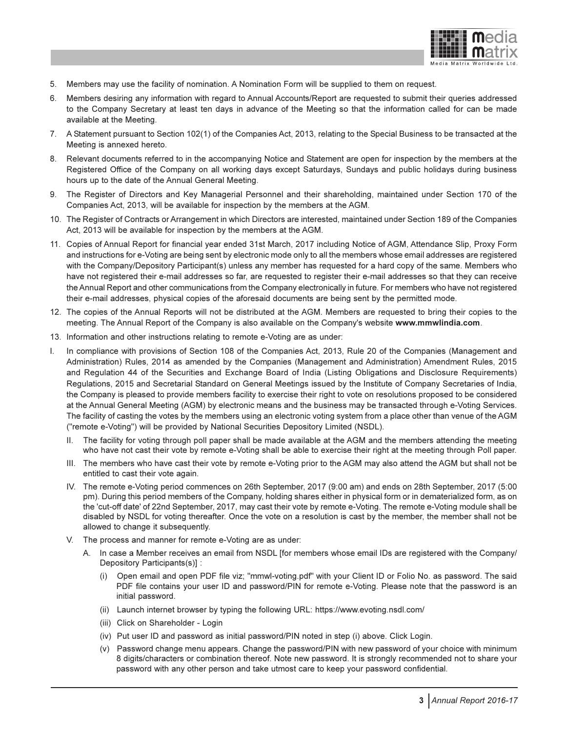

- 5. Members may use the facility of nomination. A Nomination Form will be supplied to them on request.
- 6. Members desiring any information with regard to Annual Accounts/Report are requested to submit their queries addressed to the Company Secretary at least ten days in advance of the Meeting so that the information called for can be made available at the Meeting.
- 7. A Statement pursuant to Section 102(1) of the Companies Act, 2013, relating to the Special Business to be transacted at the Meeting is annexed hereto.
- 8. Relevant documents referred to in the accompanying Notice and Statement are open for inspection by the members at the Registered Office of the Company on all working days except Saturdays, Sundays and public holidays during business hours up to the date of the Annual General Meeting.
- 9. The Register of Directors and Key Managerial Personnel and their shareholding, maintained under Section 170 of the Companies Act, 2013, will be available for inspection by the members at the AGM.
- 10. The Register of Contracts or Arrangement in which Directors are interested, maintained under Section 189 of the Companies Act, 2013 will be available for inspection by the members at the AGM.
- 11. Copies of Annual Report for financial year ended 31st March, 2017 including Notice of AGM, Attendance Slip, Proxy Form and instructions for e-Voting are being sent by electronic mode only to all the members whose email addresses are registered with the Company/Depository Participant(s) unless any member has requested for a hard copy of the same. Members who have not registered their e-mail addresses so far, are requested to register their e-mail addresses so that they can receive the Annual Report and other communications from the Company electronically in future. For members who have not registered their e-mail addresses, physical copies of the aforesaid documents are being sent by the permitted mode.
- 12. The copies of the Annual Reports will not be distributed at the AGM. Members are requested to bring their copies to the meeting. The Annual Report of the Company is also available on the Company's website www.mmwlindia.com.
- 13. Information and other instructions relating to remote e-Voting are as under:
- I. In compliance with provisions of Section 108 of the Companies Act, 2013, Rule 20 of the Companies (Management and Administration) Rules, 2014 as amended by the Companies (Management and Administration) Amendment Rules, 2015 and Regulation 44 of the Securities and Exchange Board of India (Listing Obligations and Disclosure Requirements) Regulations, 2015 and Secretarial Standard on General Meetings issued by the Institute of Company Secretaries of India, the Company is pleased to provide members facility to exercise their right to vote on resolutions proposed to be considered at the Annual General Meeting (AGM) by electronic means and the business may be transacted through e-Voting Services. The facility of casting the votes by the members using an electronic voting system from a place other than venue of the AGM ("remote e-Voting") will be provided by National Securities Depository Limited (NSDL).
	- II. The facility for voting through poll paper shall be made available at the AGM and the members attending the meeting who have not cast their vote by remote e-Voting shall be able to exercise their right at the meeting through Poll paper.
	- III. The members who have cast their vote by remote e-Voting prior to the AGM may also attend the AGM but shall not be entitled to cast their vote again.
	- IV. The remote e-Voting period commences on 26th September, 2017 (9:00 am) and ends on 28th September, 2017 (5:00 pm). During this period members of the Company, holding shares either in physical form or in dematerialized form, as on the 'cut-off date' of 22nd September, 2017, may cast their vote by remote e-Voting. The remote e-Voting module shall be disabled by NSDL for voting thereafter. Once the vote on a resolution is cast by the member, the member shall not be allowed to change it subsequently.
	- V. The process and manner for remote e-Voting are as under:
		- A. In case a Member receives an email from NSDL [for members whose email IDs are registered with the Company/ Depository Participants(s)] :
			- (i) Open email and open PDF file viz; "mmwl-voting.pdf" with your Client ID or Folio No. as password. The said PDF file contains your user ID and password/PIN for remote e-Voting. Please note that the password is an initial password.
			- (ii) Launch internet browser by typing the following URL: https://www.evoting.nsdl.com/
			- (iii) Click on Shareholder Login
			- (iv) Put user ID and password as initial password/PIN noted in step (i) above. Click Login.
			- (v) Password change menu appears. Change the password/PIN with new password of your choice with minimum 8 digits/characters or combination thereof. Note new password. It is strongly recommended not to share your password with any other person and take utmost care to keep your password confidential.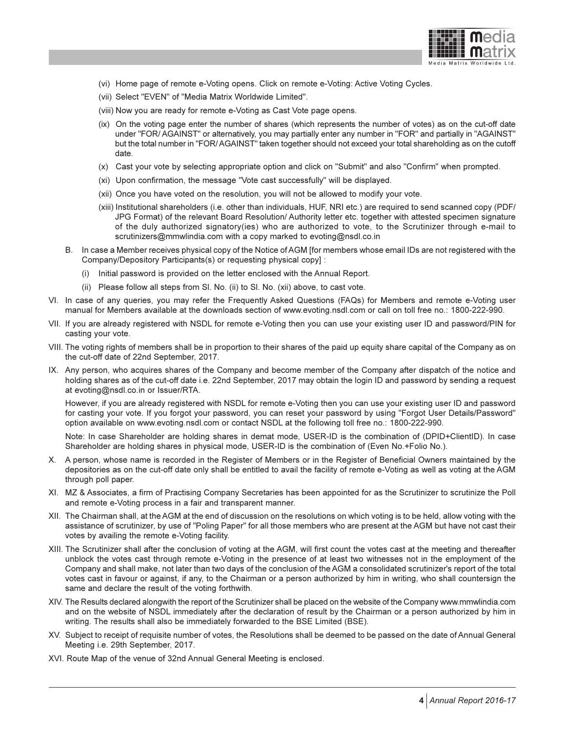

- (vi) Home page of remote e-Voting opens. Click on remote e-Voting: Active Voting Cycles.
- (vii) Select "EVEN" of "Media Matrix Worldwide Limited".
- (viii) Now you are ready for remote e-Voting as Cast Vote page opens.
- (ix) On the voting page enter the number of shares (which represents the number of votes) as on the cut-off date under "FOR/ AGAINST" or alternatively, you may partially enter any number in "FOR" and partially in "AGAINST" but the total number in "FOR/ AGAINST" taken together should not exceed your total shareholding as on the cutoff date.
- (x) Cast your vote by selecting appropriate option and click on "Submit" and also "Confirm" when prompted.
- (xi) Upon confirmation, the message "Vote cast successfully" will be displayed.
- (xii) Once you have voted on the resolution, you will not be allowed to modify your vote.
- (xiii) Institutional shareholders (i.e. other than individuals, HUF, NRI etc.) are required to send scanned copy (PDF/ JPG Format) of the relevant Board Resolution/ Authority letter etc. together with attested specimen signature of the duly authorized signatory(ies) who are authorized to vote, to the Scrutinizer through e-mail to scrutinizers@mmwlindia.com with a copy marked to evoting@nsdl.co.in
- B. In case a Member receives physical copy of the Notice of AGM [for members whose email IDs are not registered with the Company/Depository Participants(s) or requesting physical copy] :
	- (i) Initial password is provided on the letter enclosed with the Annual Report.
	- (ii) Please follow all steps from Sl. No. (ii) to Sl. No. (xii) above, to cast vote.
- VI. In case of any queries, you may refer the Frequently Asked Questions (FAQs) for Members and remote e-Voting user manual for Members available at the downloads section of www.evoting.nsdl.com or call on toll free no.: 1800-222-990.
- VII. If you are already registered with NSDL for remote e-Voting then you can use your existing user ID and password/PIN for casting your vote.
- VIII. The voting rights of members shall be in proportion to their shares of the paid up equity share capital of the Company as on the cut-off date of 22nd September, 2017.
- IX. Any person, who acquires shares of the Company and become member of the Company after dispatch of the notice and holding shares as of the cut-off date i.e. 22nd September, 2017 may obtain the login ID and password by sending a request at evoting@nsdl.co.in or Issuer/RTA.

However, if you are already registered with NSDL for remote e-Voting then you can use your existing user ID and password for casting your vote. If you forgot your password, you can reset your password by using "Forgot User Details/Password" option available on www.evoting.nsdl.com or contact NSDL at the following toll free no.: 1800-222-990.

Note: In case Shareholder are holding shares in demat mode, USER-ID is the combination of (DPID+ClientID). In case Shareholder are holding shares in physical mode, USER-ID is the combination of (Even No.+Folio No.).

- X. A person, whose name is recorded in the Register of Members or in the Register of Beneficial Owners maintained by the depositories as on the cut-off date only shall be entitled to avail the facility of remote e-Voting as well as voting at the AGM through poll paper.
- XI. MZ & Associates, a firm of Practising Company Secretaries has been appointed for as the Scrutinizer to scrutinize the Poll and remote e-Voting process in a fair and transparent manner.
- XII. The Chairman shall, at the AGM at the end of discussion on the resolutions on which voting is to be held, allow voting with the assistance of scrutinizer, by use of "Poling Paper" for all those members who are present at the AGM but have not cast their votes by availing the remote e-Voting facility.
- XIII. The Scrutinizer shall after the conclusion of voting at the AGM, will first count the votes cast at the meeting and thereafter unblock the votes cast through remote e-Voting in the presence of at least two witnesses not in the employment of the Company and shall make, not later than two days of the conclusion of the AGM a consolidated scrutinizer's report of the total votes cast in favour or against, if any, to the Chairman or a person authorized by him in writing, who shall countersign the same and declare the result of the voting forthwith.
- XIV. The Results declared alongwith the report of the Scrutinizer shall be placed on the website of the Company www.mmwlindia.com and on the website of NSDL immediately after the declaration of result by the Chairman or a person authorized by him in writing. The results shall also be immediately forwarded to the BSE Limited (BSE).
- XV. Subject to receipt of requisite number of votes, the Resolutions shall be deemed to be passed on the date of Annual General Meeting i.e. 29th September, 2017.
- XVI. Route Map of the venue of 32nd Annual General Meeting is enclosed.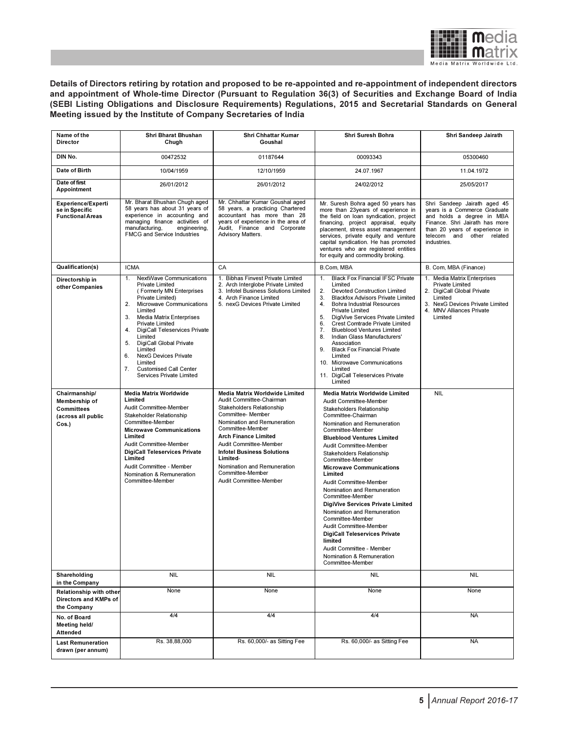

Details of Directors retiring by rotation and proposed to be re-appointed and re-appointment of independent directors and appointment of Whole-time Director (Pursuant to Regulation 36(3) of Securities and Exchange Board of India (SEBI Listing Obligations and Disclosure Requirements) Regulations, 2015 and Secretarial Standards on General Meeting issued by the Institute of Company Secretaries of India

| Name of the<br>Director                                                            | Shri Bharat Bhushan<br>Chugh                                                                                                                                                                                                                                                                                                                                                                                                                           | Shri Chhattar Kumar<br>Goushal                                                                                                                                                                                                                                                                                                                         | Shri Suresh Bohra                                                                                                                                                                                                                                                                                                                                                                                                                                                                                                                                                                                                                                           | Shri Sandeep Jairath                                                                                                                                                                                      |
|------------------------------------------------------------------------------------|--------------------------------------------------------------------------------------------------------------------------------------------------------------------------------------------------------------------------------------------------------------------------------------------------------------------------------------------------------------------------------------------------------------------------------------------------------|--------------------------------------------------------------------------------------------------------------------------------------------------------------------------------------------------------------------------------------------------------------------------------------------------------------------------------------------------------|-------------------------------------------------------------------------------------------------------------------------------------------------------------------------------------------------------------------------------------------------------------------------------------------------------------------------------------------------------------------------------------------------------------------------------------------------------------------------------------------------------------------------------------------------------------------------------------------------------------------------------------------------------------|-----------------------------------------------------------------------------------------------------------------------------------------------------------------------------------------------------------|
| DIN No.                                                                            | 00472532                                                                                                                                                                                                                                                                                                                                                                                                                                               | 01187644                                                                                                                                                                                                                                                                                                                                               | 00093343                                                                                                                                                                                                                                                                                                                                                                                                                                                                                                                                                                                                                                                    | 05300460                                                                                                                                                                                                  |
| Date of Birth                                                                      | 10/04/1959                                                                                                                                                                                                                                                                                                                                                                                                                                             | 12/10/1959                                                                                                                                                                                                                                                                                                                                             | 24.07.1967                                                                                                                                                                                                                                                                                                                                                                                                                                                                                                                                                                                                                                                  | 11.04.1972                                                                                                                                                                                                |
| Date of first<br>Appointment                                                       | 26/01/2012                                                                                                                                                                                                                                                                                                                                                                                                                                             | 26/01/2012                                                                                                                                                                                                                                                                                                                                             | 24/02/2012                                                                                                                                                                                                                                                                                                                                                                                                                                                                                                                                                                                                                                                  | 25/05/2017                                                                                                                                                                                                |
| <b>Experience/Experti</b><br>se in Specific<br><b>Functional Areas</b>             | Mr. Bharat Bhushan Chugh aged<br>58 years has about 31 years of<br>experience in accounting and<br>managing finance activities of<br>manufacturing,<br>engineering,<br><b>FMCG and Service Industries</b>                                                                                                                                                                                                                                              | Mr. Chhattar Kumar Goushal aged<br>58 years, a practicing Chartered<br>accountant has more than 28<br>years of experience in the area of<br>Audit, Finance and Corporate<br>Advisory Matters.                                                                                                                                                          | Mr. Suresh Bohra aged 50 years has<br>more than 23years of experience in<br>the field on loan syndication, project<br>financing, project appraisal, equity<br>placement, stress asset management<br>services, private equity and venture<br>capital syndication. He has promoted<br>ventures who are registered entities<br>for equity and commodity broking.                                                                                                                                                                                                                                                                                               | Shri Sandeep Jairath aged 45<br>years is a Commerce Graduate<br>and holds a degree in MBA<br>Finance. Shri Jairath has more<br>than 20 years of experience in<br>telecom and other related<br>industries. |
| Qualification(s)                                                                   | <b>ICMA</b>                                                                                                                                                                                                                                                                                                                                                                                                                                            | CA                                                                                                                                                                                                                                                                                                                                                     | B.Com, MBA                                                                                                                                                                                                                                                                                                                                                                                                                                                                                                                                                                                                                                                  | B. Com, MBA (Finance)                                                                                                                                                                                     |
| Directorship in<br>other Companies                                                 | <b>NextWave Communications</b><br>1.<br><b>Private Limited</b><br>(Formerly MN Enterprises<br>Private Limited)<br>2.<br>Microwave Communications<br>Limited<br><b>Media Matrix Enterprises</b><br>3.<br>Private Limited<br>4.<br><b>DigiCall Teleservices Private</b><br>Limited<br>5.<br>DigiCall Global Private<br>Limited<br>6.<br><b>NexG Devices Private</b><br>Limited<br>7.<br><b>Customised Call Center</b><br><b>Services Private Limited</b> | 1. Bibhas Finvest Private Limited<br>2. Arch Interglobe Private Limited<br>3. Infotel Business Solutions Limited<br>4. Arch Finance Limited<br>5. nexG Devices Private Limited                                                                                                                                                                         | <b>Black Fox Financial IFSC Private</b><br>1.<br>Limited<br>2.<br><b>Devoted Construction Limited</b><br><b>Blackfox Advisors Private Limited</b><br>3.<br><b>Bohra Industrial Resources</b><br>4.<br><b>Private Limited</b><br>5.<br>DigiVive Services Private Limited<br><b>Crest Comtrade Private Limited</b><br>6.<br><b>Blueblood Ventures Limited</b><br>7.<br>8.<br>Indian Glass Manufacturers'<br>Association<br>9. Black Fox Financial Private<br>Limited<br>10. Microwave Communications<br>Limited<br>11. DigiCall Teleservices Private<br>Limited                                                                                               | 1. Media Matrix Enterprises<br>Private Limited<br>2. DigiCall Global Private<br>Limited<br>3. NexG Devices Private Limited<br>4. MNV Alliances Private<br>Limited                                         |
| Chairmanship/<br>Membership of<br><b>Committees</b><br>(across all public<br>Cos.) | <b>Media Matrix Worldwide</b><br>Limited<br>Audit Committee-Member<br>Stakeholder Relationship<br>Committee-Member<br><b>Microwave Communications</b><br>Limited<br>Audit Committee-Member<br><b>DigiCall Teleservices Private</b><br>Limited<br>Audit Committee - Member<br>Nomination & Remuneration<br>Committee-Member                                                                                                                             | Media Matrix Worldwide Limited<br>Audit Committee-Chairman<br>Stakeholders Relationship<br>Committee- Member<br>Nomination and Remuneration<br>Committee-Member<br><b>Arch Finance Limited</b><br>Audit Committee-Member<br><b>Infotel Business Solutions</b><br>Limited-<br>Nomination and Remuneration<br>Committee-Member<br>Audit Committee-Member | Media Matrix Worldwide Limited<br>Audit Committee-Member<br>Stakeholders Relationship<br>Committee-Chairman<br>Nomination and Remuneration<br>Committee-Member<br><b>Blueblood Ventures Limited</b><br>Audit Committee-Member<br>Stakeholders Relationship<br>Committee-Member<br><b>Microwave Communications</b><br>Limited<br>Audit Committee-Member<br>Nomination and Remuneration<br>Committee-Member<br>DigiVive Services Private Limited<br>Nomination and Remuneration<br>Committee-Member<br>Audit Committee-Member<br><b>DigiCall Teleservices Private</b><br>limited<br>Audit Committee - Member<br>Nomination & Remuneration<br>Committee-Member | <b>NIL</b>                                                                                                                                                                                                |
| Shareholding<br>in the Company                                                     | <b>NIL</b>                                                                                                                                                                                                                                                                                                                                                                                                                                             | <b>NIL</b>                                                                                                                                                                                                                                                                                                                                             | <b>NIL</b>                                                                                                                                                                                                                                                                                                                                                                                                                                                                                                                                                                                                                                                  | NIL                                                                                                                                                                                                       |
| Relationship with other<br>Directors and KMPs of<br>the Company                    | None                                                                                                                                                                                                                                                                                                                                                                                                                                                   | None                                                                                                                                                                                                                                                                                                                                                   | None                                                                                                                                                                                                                                                                                                                                                                                                                                                                                                                                                                                                                                                        | None                                                                                                                                                                                                      |
| No. of Board<br>Meeting held/<br><b>Attended</b>                                   | 4/4                                                                                                                                                                                                                                                                                                                                                                                                                                                    | 4/4                                                                                                                                                                                                                                                                                                                                                    | 4/4                                                                                                                                                                                                                                                                                                                                                                                                                                                                                                                                                                                                                                                         | <b>NA</b>                                                                                                                                                                                                 |
| <b>Last Remuneration</b><br>drawn (per annum)                                      | Rs. 38,88,000                                                                                                                                                                                                                                                                                                                                                                                                                                          | Rs. 60,000/- as Sitting Fee                                                                                                                                                                                                                                                                                                                            | Rs. 60,000/- as Sitting Fee                                                                                                                                                                                                                                                                                                                                                                                                                                                                                                                                                                                                                                 | <b>NA</b>                                                                                                                                                                                                 |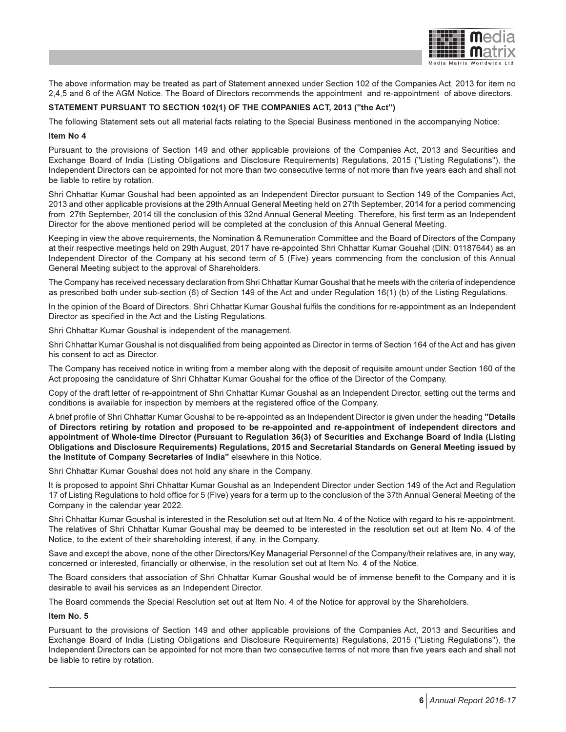

The above information may be treated as part of Statement annexed under Section 102 of the Companies Act, 2013 for item no 2,4,5 and 6 of the AGM Notice. The Board of Directors recommends the appointment and re-appointment of above directors.

#### STATEMENT PURSUANT TO SECTION 102(1) OF THE COMPANIES ACT, 2013 ("the Act")

The following Statement sets out all material facts relating to the Special Business mentioned in the accompanying Notice:

#### Item No 4

Pursuant to the provisions of Section 149 and other applicable provisions of the Companies Act, 2013 and Securities and Exchange Board of India (Listing Obligations and Disclosure Requirements) Regulations, 2015 ("Listing Regulations"), the Independent Directors can be appointed for not more than two consecutive terms of not more than five years each and shall not be liable to retire by rotation.

Shri Chhattar Kumar Goushal had been appointed as an Independent Director pursuant to Section 149 of the Companies Act, 2013 and other applicable provisions at the 29th Annual General Meeting held on 27th September, 2014 for a period commencing from 27th September, 2014 till the conclusion of this 32nd Annual General Meeting. Therefore, his first term as an Independent Director for the above mentioned period will be completed at the conclusion of this Annual General Meeting.

Keeping in view the above requirements, the Nomination & Remuneration Committee and the Board of Directors of the Company at their respective meetings held on 29th August, 2017 have re-appointed Shri Chhattar Kumar Goushal (DIN: 01187644) as an Independent Director of the Company at his second term of 5 (Five) years commencing from the conclusion of this Annual General Meeting subject to the approval of Shareholders.

The Company has received necessary declaration from Shri Chhattar Kumar Goushal that he meets with the criteria of independence as prescribed both under sub-section (6) of Section 149 of the Act and under Regulation 16(1) (b) of the Listing Regulations.

In the opinion of the Board of Directors, Shri Chhattar Kumar Goushal fulfils the conditions for re-appointment as an Independent Director as specified in the Act and the Listing Regulations.

Shri Chhattar Kumar Goushal is independent of the management.

Shri Chhattar Kumar Goushal is not disqualified from being appointed as Director in terms of Section 164 of the Act and has given his consent to act as Director.

The Company has received notice in writing from a member along with the deposit of requisite amount under Section 160 of the Act proposing the candidature of Shri Chhattar Kumar Goushal for the office of the Director of the Company.

Copy of the draft letter of re-appointment of Shri Chhattar Kumar Goushal as an Independent Director, setting out the terms and conditions is available for inspection by members at the registered office of the Company.

A brief profile of Shri Chhattar Kumar Goushal to be re-appointed as an Independent Director is given under the heading "Details of Directors retiring by rotation and proposed to be re-appointed and re-appointment of independent directors and appointment of Whole-time Director (Pursuant to Regulation 36(3) of Securities and Exchange Board of India (Listing Obligations and Disclosure Requirements) Regulations, 2015 and Secretarial Standards on General Meeting issued by the Institute of Company Secretaries of India" elsewhere in this Notice.

Shri Chhattar Kumar Goushal does not hold any share in the Company.

It is proposed to appoint Shri Chhattar Kumar Goushal as an Independent Director under Section 149 of the Act and Regulation 17 of Listing Regulations to hold office for 5 (Five) years for a term up to the conclusion of the 37th Annual General Meeting of the Company in the calendar year 2022.

Shri Chhattar Kumar Goushal is interested in the Resolution set out at Item No. 4 of the Notice with regard to his re-appointment. The relatives of Shri Chhattar Kumar Goushal may be deemed to be interested in the resolution set out at Item No. 4 of the Notice, to the extent of their shareholding interest, if any, in the Company.

Save and except the above, none of the other Directors/Key Managerial Personnel of the Company/their relatives are, in any way, concerned or interested, financially or otherwise, in the resolution set out at Item No. 4 of the Notice.

The Board considers that association of Shri Chhattar Kumar Goushal would be of immense benefit to the Company and it is desirable to avail his services as an Independent Director.

The Board commends the Special Resolution set out at Item No. 4 of the Notice for approval by the Shareholders.

#### Item No. 5

Pursuant to the provisions of Section 149 and other applicable provisions of the Companies Act, 2013 and Securities and Exchange Board of India (Listing Obligations and Disclosure Requirements) Regulations, 2015 ("Listing Regulations"), the Independent Directors can be appointed for not more than two consecutive terms of not more than five years each and shall not be liable to retire by rotation.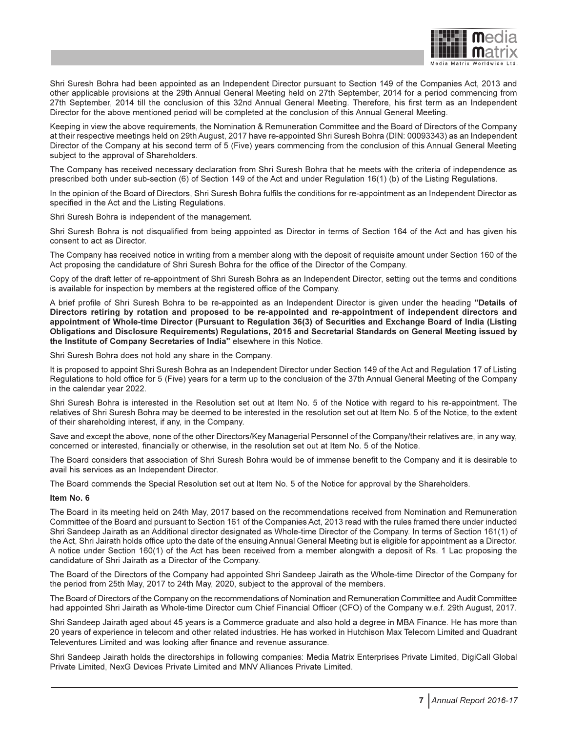

Shri Suresh Bohra had been appointed as an Independent Director pursuant to Section 149 of the Companies Act, 2013 and other applicable provisions at the 29th Annual General Meeting held on 27th September, 2014 for a period commencing from 27th September, 2014 till the conclusion of this 32nd Annual General Meeting. Therefore, his first term as an Independent Director for the above mentioned period will be completed at the conclusion of this Annual General Meeting.

Keeping in view the above requirements, the Nomination & Remuneration Committee and the Board of Directors of the Company at their respective meetings held on 29th August, 2017 have re-appointed Shri Suresh Bohra (DIN: 00093343) as an Independent Director of the Company at his second term of 5 (Five) years commencing from the conclusion of this Annual General Meeting subject to the approval of Shareholders.

The Company has received necessary declaration from Shri Suresh Bohra that he meets with the criteria of independence as prescribed both under sub-section (6) of Section 149 of the Act and under Regulation 16(1) (b) of the Listing Regulations.

In the opinion of the Board of Directors, Shri Suresh Bohra fulfils the conditions for re-appointment as an Independent Director as specified in the Act and the Listing Regulations.

Shri Suresh Bohra is independent of the management.

Shri Suresh Bohra is not disqualified from being appointed as Director in terms of Section 164 of the Act and has given his consent to act as Director.

The Company has received notice in writing from a member along with the deposit of requisite amount under Section 160 of the Act proposing the candidature of Shri Suresh Bohra for the office of the Director of the Company.

Copy of the draft letter of re-appointment of Shri Suresh Bohra as an Independent Director, setting out the terms and conditions is available for inspection by members at the registered office of the Company.

A brief profile of Shri Suresh Bohra to be re-appointed as an Independent Director is given under the heading "Details of Directors retiring by rotation and proposed to be re-appointed and re-appointment of independent directors and appointment of Whole-time Director (Pursuant to Regulation 36(3) of Securities and Exchange Board of India (Listing Obligations and Disclosure Requirements) Regulations, 2015 and Secretarial Standards on General Meeting issued by the Institute of Company Secretaries of India" elsewhere in this Notice.

Shri Suresh Bohra does not hold any share in the Company.

It is proposed to appoint Shri Suresh Bohra as an Independent Director under Section 149 of the Act and Regulation 17 of Listing Regulations to hold office for 5 (Five) years for a term up to the conclusion of the 37th Annual General Meeting of the Company in the calendar year 2022.

Shri Suresh Bohra is interested in the Resolution set out at Item No. 5 of the Notice with regard to his re-appointment. The relatives of Shri Suresh Bohra may be deemed to be interested in the resolution set out at Item No. 5 of the Notice, to the extent of their shareholding interest, if any, in the Company.

Save and except the above, none of the other Directors/Key Managerial Personnel of the Company/their relatives are, in any way, concerned or interested, financially or otherwise, in the resolution set out at Item No. 5 of the Notice.

The Board considers that association of Shri Suresh Bohra would be of immense benefit to the Company and it is desirable to avail his services as an Independent Director.

The Board commends the Special Resolution set out at Item No. 5 of the Notice for approval by the Shareholders.

#### Item No. 6

The Board in its meeting held on 24th May, 2017 based on the recommendations received from Nomination and Remuneration Committee of the Board and pursuant to Section 161 of the Companies Act, 2013 read with the rules framed there under inducted Shri Sandeep Jairath as an Additional director designated as Whole-time Director of the Company. In terms of Section 161(1) of the Act, Shri Jairath holds office upto the date of the ensuing Annual General Meeting but is eligible for appointment as a Director. A notice under Section 160(1) of the Act has been received from a member alongwith a deposit of Rs. 1 Lac proposing the candidature of Shri Jairath as a Director of the Company.

The Board of the Directors of the Company had appointed Shri Sandeep Jairath as the Whole-time Director of the Company for the period from 25th May, 2017 to 24th May, 2020, subject to the approval of the members.

The Board of Directors of the Company on the recommendations of Nomination and Remuneration Committee and Audit Committee had appointed Shri Jairath as Whole-time Director cum Chief Financial Officer (CFO) of the Company w.e.f. 29th August, 2017.

Shri Sandeep Jairath aged about 45 years is a Commerce graduate and also hold a degree in MBA Finance. He has more than 20 years of experience in telecom and other related industries. He has worked in Hutchison Max Telecom Limited and Quadrant Televentures Limited and was looking after finance and revenue assurance.

Shri Sandeep Jairath holds the directorships in following companies: Media Matrix Enterprises Private Limited, DigiCall Global Private Limited, NexG Devices Private Limited and MNV Alliances Private Limited.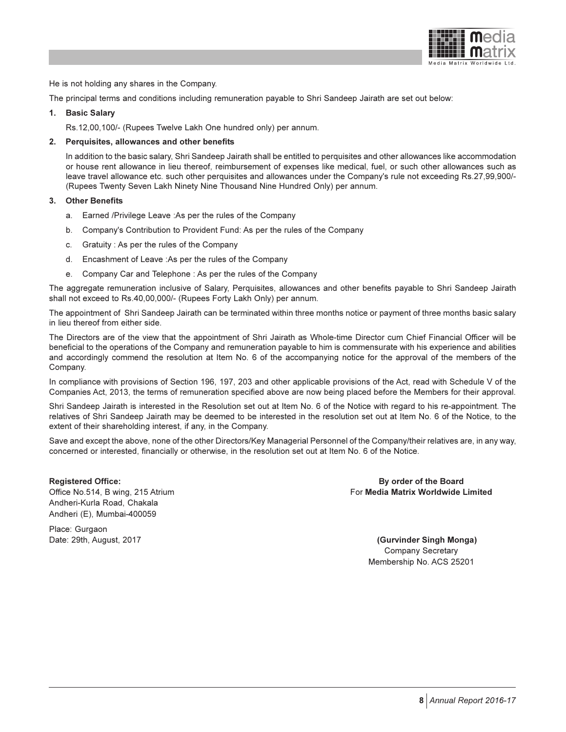

He is not holding any shares in the Company.

The principal terms and conditions including remuneration payable to Shri Sandeep Jairath are set out below:

#### 1. Basic Salary

Rs.12,00,100/- (Rupees Twelve Lakh One hundred only) per annum.

#### 2. Perquisites, allowances and other benefits

In addition to the basic salary, Shri Sandeep Jairath shall be entitled to perquisites and other allowances like accommodation or house rent allowance in lieu thereof, reimbursement of expenses like medical, fuel, or such other allowances such as leave travel allowance etc. such other perquisites and allowances under the Company's rule not exceeding Rs.27,99,900/- (Rupees Twenty Seven Lakh Ninety Nine Thousand Nine Hundred Only) per annum.

#### 3. Other Benefits

- a. Earned /Privilege Leave :As per the rules of the Company
- b. Company's Contribution to Provident Fund: As per the rules of the Company
- c. Gratuity : As per the rules of the Company
- d. Encashment of Leave :As per the rules of the Company
- e. Company Car and Telephone : As per the rules of the Company

The aggregate remuneration inclusive of Salary, Perquisites, allowances and other benefits payable to Shri Sandeep Jairath shall not exceed to Rs.40,00,000/- (Rupees Forty Lakh Only) per annum.

The appointment of Shri Sandeep Jairath can be terminated within three months notice or payment of three months basic salary in lieu thereof from either side.

The Directors are of the view that the appointment of Shri Jairath as Whole-time Director cum Chief Financial Officer will be beneficial to the operations of the Company and remuneration payable to him is commensurate with his experience and abilities and accordingly commend the resolution at Item No. 6 of the accompanying notice for the approval of the members of the Company.

In compliance with provisions of Section 196, 197, 203 and other applicable provisions of the Act, read with Schedule V of the Companies Act, 2013, the terms of remuneration specified above are now being placed before the Members for their approval.

Shri Sandeep Jairath is interested in the Resolution set out at Item No. 6 of the Notice with regard to his re-appointment. The relatives of Shri Sandeep Jairath may be deemed to be interested in the resolution set out at Item No. 6 of the Notice, to the extent of their shareholding interest, if any, in the Company.

Save and except the above, none of the other Directors/Key Managerial Personnel of the Company/their relatives are, in any way, concerned or interested, financially or otherwise, in the resolution set out at Item No. 6 of the Notice.

Registered Office: By order of the Board Andheri-Kurla Road, Chakala Andheri (E), Mumbai-400059

Place: Gurgaon

Office No.514, B wing, 215 Atrium For Media Matrix Worldwide Limited

Date: 29th, August, 2017 (Gurvinder Singh Monga) Company Secretary Membership No. ACS 25201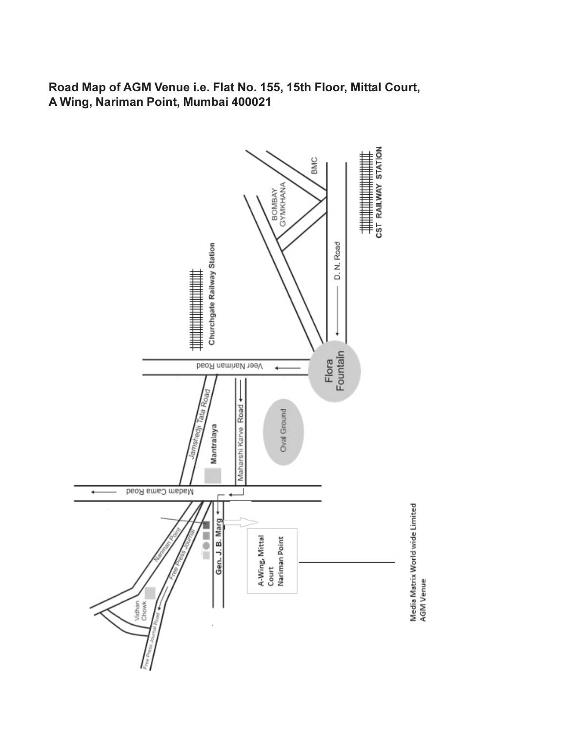Road Map of AGM Venue i.e. Flat No. 155, 15th Floor, Mittal Court, A Wing, Nariman Point, Mumbai 400021

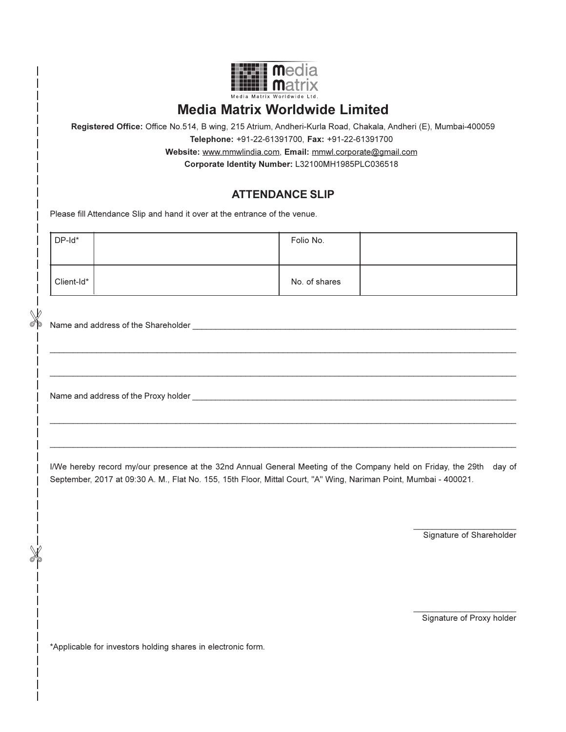| an an | ын<br>Ш                    |
|-------|----------------------------|
|       | Media Matrix Worldwide Ltd |

# Media Matrix Worldwide Limited

Registered Office: Office No.514, B wing, 215 Atrium, Andheri-Kurla Road, Chakala, Andheri (E), Mumbai-400059

Telephone: +91-22-61391700, Fax: +91-22-61391700

Website: www.mmwlindia.com, Email: mmwl.corporate@gmail.com

Corporate Identity Number: L32100MH1985PLC036518

## ATTENDANCE SLIP

Please fill Attendance Slip and hand it over at the entrance of the venue.

| DP-Id*     | Folio No.     |  |
|------------|---------------|--|
| Client-Id* | No. of shares |  |

 $\mathcal{L}_\mathcal{L} = \{ \mathcal{L}_\mathcal{L} = \{ \mathcal{L}_\mathcal{L} = \{ \mathcal{L}_\mathcal{L} = \{ \mathcal{L}_\mathcal{L} = \{ \mathcal{L}_\mathcal{L} = \{ \mathcal{L}_\mathcal{L} = \{ \mathcal{L}_\mathcal{L} = \{ \mathcal{L}_\mathcal{L} = \{ \mathcal{L}_\mathcal{L} = \{ \mathcal{L}_\mathcal{L} = \{ \mathcal{L}_\mathcal{L} = \{ \mathcal{L}_\mathcal{L} = \{ \mathcal{L}_\mathcal{L} = \{ \mathcal{L}_\mathcal{$ 

 $\mathcal{L}_\mathcal{L} = \{ \mathcal{L}_\mathcal{L} = \{ \mathcal{L}_\mathcal{L} = \{ \mathcal{L}_\mathcal{L} = \{ \mathcal{L}_\mathcal{L} = \{ \mathcal{L}_\mathcal{L} = \{ \mathcal{L}_\mathcal{L} = \{ \mathcal{L}_\mathcal{L} = \{ \mathcal{L}_\mathcal{L} = \{ \mathcal{L}_\mathcal{L} = \{ \mathcal{L}_\mathcal{L} = \{ \mathcal{L}_\mathcal{L} = \{ \mathcal{L}_\mathcal{L} = \{ \mathcal{L}_\mathcal{L} = \{ \mathcal{L}_\mathcal{$ 

 $\mathcal{L}_\mathcal{L} = \{ \mathcal{L}_\mathcal{L} = \{ \mathcal{L}_\mathcal{L} = \{ \mathcal{L}_\mathcal{L} = \{ \mathcal{L}_\mathcal{L} = \{ \mathcal{L}_\mathcal{L} = \{ \mathcal{L}_\mathcal{L} = \{ \mathcal{L}_\mathcal{L} = \{ \mathcal{L}_\mathcal{L} = \{ \mathcal{L}_\mathcal{L} = \{ \mathcal{L}_\mathcal{L} = \{ \mathcal{L}_\mathcal{L} = \{ \mathcal{L}_\mathcal{L} = \{ \mathcal{L}_\mathcal{L} = \{ \mathcal{L}_\mathcal{$ 

 $\mathcal{L}_\mathcal{L} = \{ \mathcal{L}_\mathcal{L} = \{ \mathcal{L}_\mathcal{L} = \{ \mathcal{L}_\mathcal{L} = \{ \mathcal{L}_\mathcal{L} = \{ \mathcal{L}_\mathcal{L} = \{ \mathcal{L}_\mathcal{L} = \{ \mathcal{L}_\mathcal{L} = \{ \mathcal{L}_\mathcal{L} = \{ \mathcal{L}_\mathcal{L} = \{ \mathcal{L}_\mathcal{L} = \{ \mathcal{L}_\mathcal{L} = \{ \mathcal{L}_\mathcal{L} = \{ \mathcal{L}_\mathcal{L} = \{ \mathcal{L}_\mathcal{$ 

X

 $\mathbb X$ 

Name and address of the Shareholder \_\_\_\_\_\_\_\_\_\_\_\_\_\_\_\_\_\_\_\_\_\_\_\_\_\_\_\_\_\_\_\_\_\_\_\_\_\_\_\_\_\_\_\_\_\_\_\_\_\_\_\_\_\_\_\_\_\_\_\_\_\_\_\_\_\_\_\_\_\_

Name and address of the Proxy holder \_

I/We hereby record my/our presence at the 32nd Annual General Meeting of the Company held on Friday, the 29th day of September, 2017 at 09:30 A. M., Flat No. 155, 15th Floor, Mittal Court, "A" Wing, Nariman Point, Mumbai - 400021.

> $\frac{1}{2}$  ,  $\frac{1}{2}$  ,  $\frac{1}{2}$  ,  $\frac{1}{2}$  ,  $\frac{1}{2}$  ,  $\frac{1}{2}$  ,  $\frac{1}{2}$  ,  $\frac{1}{2}$  ,  $\frac{1}{2}$  ,  $\frac{1}{2}$  ,  $\frac{1}{2}$  ,  $\frac{1}{2}$  ,  $\frac{1}{2}$  ,  $\frac{1}{2}$  ,  $\frac{1}{2}$  ,  $\frac{1}{2}$  ,  $\frac{1}{2}$  ,  $\frac{1}{2}$  ,  $\frac{1$ Signature of Shareholder

> \_\_\_\_\_\_\_\_\_\_\_\_\_\_\_\_\_\_\_\_\_\_ Signature of Proxy holder

\*Applicable for investors holding shares in electronic form.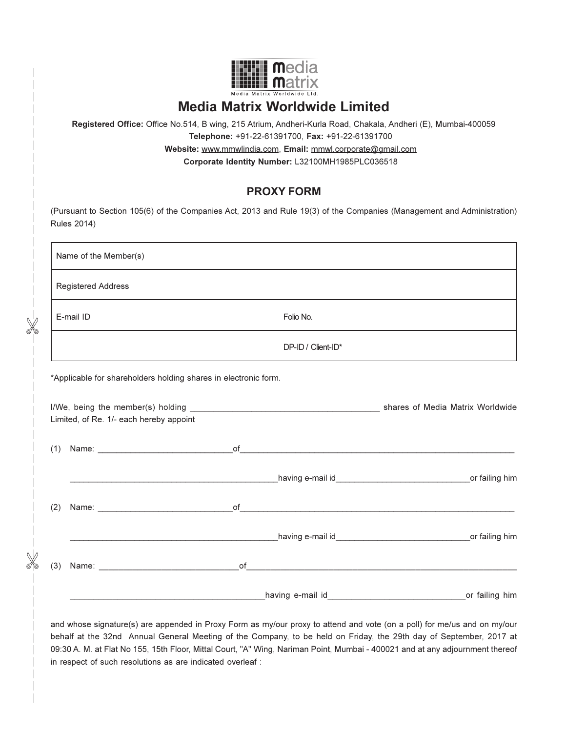

# Media Matrix Worldwide Limited

Registered Office: Office No.514, B wing, 215 Atrium, Andheri-Kurla Road, Chakala, Andheri (E), Mumbai-400059 Telephone: +91-22-61391700, Fax: +91-22-61391700 Website: www.mmwlindia.com, Email: mmwl.corporate@gmail.com

Corporate Identity Number: L32100MH1985PLC036518

## PROXY FORM

| Name of the Member(s)                                        |                                                                                                                                                                                                                                     |  |
|--------------------------------------------------------------|-------------------------------------------------------------------------------------------------------------------------------------------------------------------------------------------------------------------------------------|--|
| <b>Registered Address</b>                                    |                                                                                                                                                                                                                                     |  |
| E-mail ID                                                    | Folio No.                                                                                                                                                                                                                           |  |
|                                                              | DP-ID / Client-ID*                                                                                                                                                                                                                  |  |
|                                                              |                                                                                                                                                                                                                                     |  |
|                                                              |                                                                                                                                                                                                                                     |  |
|                                                              | www.community.community.community.community.community.community.community.community.community.community.commun                                                                                                                      |  |
|                                                              |                                                                                                                                                                                                                                     |  |
|                                                              |                                                                                                                                                                                                                                     |  |
| Limited, of Re. 1/- each hereby appoint<br>(1)<br>(2)<br>(3) | Name: <u>Name:</u> Name: Name: Name: Name: Name: Name: Name: Name: Name: Name: Name: Name: Name: Name: Name: Name: Name: Name: Name: Name: Name: Name: Name: Name: Name: Name: Name: Name: Name: Name: Name: Name: Name: Name: Name |  |

and whose signature(s) are appended in Proxy Form as my/our proxy to attend and vote (on a poll) for me/us and on my/our behalf at the 32nd Annual General Meeting of the Company, to be held on Friday, the 29th day of September, 2017 at 09:30 A. M. at Flat No 155, 15th Floor, Mittal Court, "A" Wing, Nariman Point, Mumbai - 400021 and at any adjournment thereof in respect of such resolutions as are indicated overleaf :

 $\%$ 

 $\%$